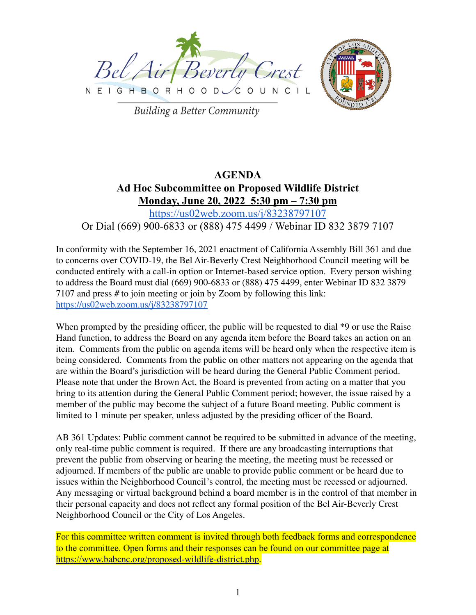



**Building a Better Community** 

## **AGENDA Ad Hoc Subcommittee on Proposed Wildlife District Monday, June 20, 2022 5:30 pm – 7:30 pm** <https://us02web.zoom.us/j/83238797107>

# Or Dial (669) 900-6833 or (888) 475 4499 / Webinar ID 832 3879 7107

In conformity with the September 16, 2021 enactment of California Assembly Bill 361 and due to concerns over COVID-19, the Bel Air-Beverly Crest Neighborhood Council meeting will be conducted entirely with a call-in option or Internet-based service option. Every person wishing to address the Board must dial (669) 900-6833 or (888) 475 4499, enter Webinar ID 832 3879 7107 and press # to join meeting or join by Zoom by following this link: <https://us02web.zoom.us/j/83238797107>

When prompted by the presiding officer, the public will be requested to dial  $*9$  or use the Raise Hand function, to address the Board on any agenda item before the Board takes an action on an item. Comments from the public on agenda items will be heard only when the respective item is being considered. Comments from the public on other matters not appearing on the agenda that are within the Board's jurisdiction will be heard during the General Public Comment period. Please note that under the Brown Act, the Board is prevented from acting on a matter that you bring to its attention during the General Public Comment period; however, the issue raised by a member of the public may become the subject of a future Board meeting. Public comment is limited to 1 minute per speaker, unless adjusted by the presiding officer of the Board.

AB 361 Updates: Public comment cannot be required to be submitted in advance of the meeting, only real-time public comment is required. If there are any broadcasting interruptions that prevent the public from observing or hearing the meeting, the meeting must be recessed or adjourned. If members of the public are unable to provide public comment or be heard due to issues within the Neighborhood Council's control, the meeting must be recessed or adjourned. Any messaging or virtual background behind a board member is in the control of that member in their personal capacity and does not reflect any formal position of the Bel Air-Beverly Crest Neighborhood Council or the City of Los Angeles.

For this committee written comment is invited through both feedback forms and correspondence to the committee. Open forms and their responses can be found on our committee page at <https://www.babcnc.org/proposed-wildlife-district.php>.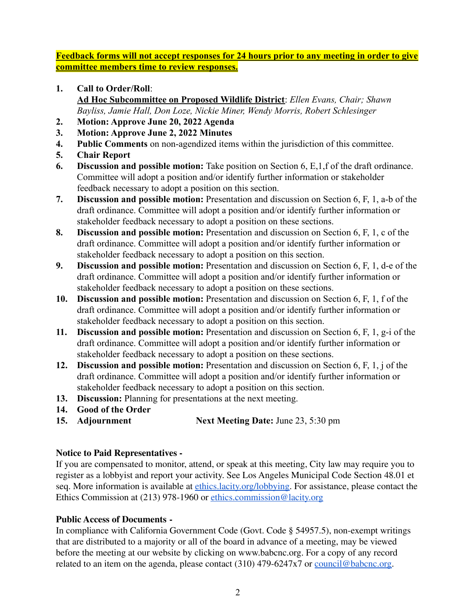**Feedback forms will not accept responses for 24 hours prior to any meeting in order to give committee members time to review responses.**

- **1. Call to Order/Roll**: **Ad Hoc Subcommittee on Proposed Wildlife District**: *Ellen Evans, Chair; Shawn Bayliss, Jamie Hall, Don Loze, Nickie Miner, Wendy Morris, Robert Schlesinger*
- **2. Motion: Approve June 20, 2022 Agenda**
- **3. Motion: Approve June 2, 2022 Minutes**
- **4. Public Comments** on non-agendized items within the jurisdiction of this committee.
- **5. Chair Report**
- **6. Discussion and possible motion:** Take position on Section 6, E,1,f of the draft ordinance. Committee will adopt a position and/or identify further information or stakeholder feedback necessary to adopt a position on this section.
- **7. Discussion and possible motion:** Presentation and discussion on Section 6, F, 1, a-b of the draft ordinance. Committee will adopt a position and/or identify further information or stakeholder feedback necessary to adopt a position on these sections.
- **8. Discussion and possible motion:** Presentation and discussion on Section 6, F, 1, c of the draft ordinance. Committee will adopt a position and/or identify further information or stakeholder feedback necessary to adopt a position on this section.
- **9. Discussion and possible motion:** Presentation and discussion on Section 6, F, 1, d-e of the draft ordinance. Committee will adopt a position and/or identify further information or stakeholder feedback necessary to adopt a position on these sections.
- **10. Discussion and possible motion:** Presentation and discussion on Section 6, F, 1, f of the draft ordinance. Committee will adopt a position and/or identify further information or stakeholder feedback necessary to adopt a position on this section.
- **11. Discussion and possible motion:** Presentation and discussion on Section 6, F, 1, g-i of the draft ordinance. Committee will adopt a position and/or identify further information or stakeholder feedback necessary to adopt a position on these sections.
- **12. Discussion and possible motion:** Presentation and discussion on Section 6, F, 1, j of the draft ordinance. Committee will adopt a position and/or identify further information or stakeholder feedback necessary to adopt a position on this section.
- **13. Discussion:** Planning for presentations at the next meeting.
- **14. Good of the Order**
- **15. Adjournment Next Meeting Date:** June 23, 5:30 pm

## **Notice to Paid Representatives -**

If you are compensated to monitor, attend, or speak at this meeting, City law may require you to register as a lobbyist and report your activity. See Los Angeles Municipal Code Section 48.01 et seq. More information is available at [ethics.lacity.org/lobbying.](http://ethics.lacity.org/lobbying) For assistance, please contact the Ethics Commission at (213) 978-1960 or [ethics.commission@lacity.org](mailto:ethics.commission@lacity.org)

### **Public Access of Documents -**

In compliance with California Government Code (Govt. Code § 54957.5), non-exempt writings that are distributed to a majority or all of the board in advance of a meeting, may be viewed before the meeting at our website by clicking on www.babcnc.org. For a copy of any record related to an item on the agenda, please contact (310) 479-6247x7 or [council@babcnc.org.](mailto:council@babcnc.org)